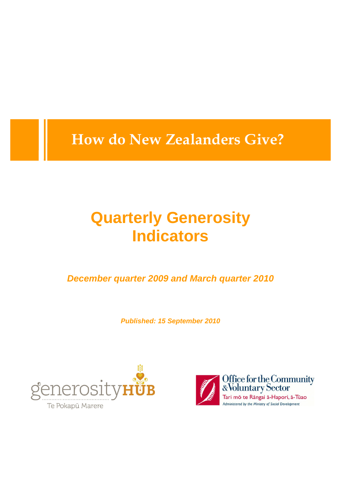**How do New Zealanders Give?**

# **Quarterly Generosity Indicators**

*December quarter 2009 and March quarter 2010*

*Published: 15 September 2010*



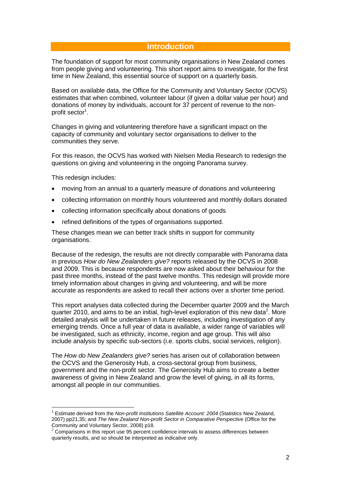## **Introduction**

The foundation of support for most community organisations in New Zealand comes from people giving and volunteering. This short report aims to investigate, for the first time in New Zealand, this essential source of support on a quarterly basis.

Based on available data, the Office for the Community and Voluntary Sector (OCVS) estimates that when combined, volunteer labour (if given a dollar value per hour) and donations of money by individuals, account for 37 percent of revenue to the nonprofit sector<sup>1</sup>.

Changes in giving and volunteering therefore have a significant impact on the capacity of community and voluntary sector organisations to deliver to the communities they serve.

For this reason, the OCVS has worked with Nielsen Media Research to redesign the questions on giving and volunteering in the ongoing Panorama survey.

This redesign includes:

- · moving from an annual to a quarterly measure of donations and volunteering
- · collecting information on monthly hours volunteered and monthly dollars donated
- · collecting information specifically about donations of goods
- · refined definitions of the types of organisations supported.

These changes mean we can better track shifts in support for community organisations.

Because of the redesign, the results are not directly comparable with Panorama data in previous *How do New Zealanders give?* reports released by the OCVS in 2008 and 2009. This is because respondents are now asked about their behaviour for the past three months, instead of the past twelve months. This redesign will provide more timely information about changes in giving and volunteering, and will be more accurate as respondents are asked to recall their actions over a shorter time period.

This report analyses data collected during the December quarter 2009 and the March quarter 2010, and aims to be an initial, high-level exploration of this new data<sup>2</sup>. More detailed analysis will be undertaken in future releases, including investigation of any emerging trends. Once a full year of data is available, a wider range of variables will be investigated, such as ethnicity, income, region and age group. This will also include analysis by specific sub-sectors (i.e. sports clubs, social services, religion).

The *How do New Zealanders give?* series has arisen out of collaboration between the OCVS and the Generosity Hub, a cross-sectoral group from business, government and the non-profit sector. The Generosity Hub aims to create a better awareness of giving in New Zealand and grow the level of giving, in all its forms, amongst all people in our communities.

 $\frac{1}{1}$  Estimate derived from the *Non-profit Institutions Satellite Account: 2004* (Statistics New Zealand, 2007) pp21,35; and *The New Zealand Non-profit Sector in Comparative Perspective* (Office for the Community and Voluntary Sector, 2008) p18.

 $2$  Comparisons in this report use 95 percent confidence intervals to assess differences between quarterly results, and so should be interpreted as indicative only.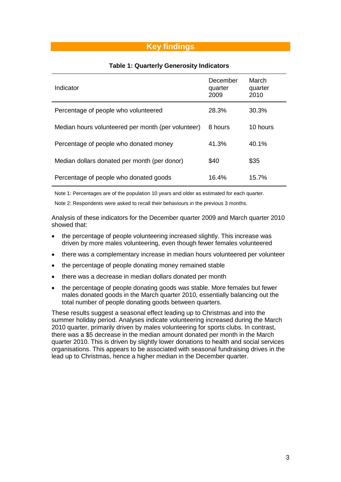## **Key findings**

| Indicator                                          | December<br>quarter<br>2009 | March<br>quarter<br>2010 |
|----------------------------------------------------|-----------------------------|--------------------------|
| Percentage of people who volunteered               | 28.3%                       | 30.3%                    |
| Median hours volunteered per month (per volunteer) | 8 hours                     | 10 hours                 |
| Percentage of people who donated money             | 41.3%                       | $40.1\%$                 |
| Median dollars donated per month (per donor)       | \$40                        | \$35                     |
| Percentage of people who donated goods             | 16.4%                       | 15.7%                    |

Note 1: Percentages are of the population 10 years and older as estimated for each quarter.

Note 2: Respondents were asked to recall their behaviours in the previous 3 months.

Analysis of these indicators for the December quarter 2009 and March quarter 2010 showed that:

- · the percentage of people volunteering increased slightly. This increase was driven by more males volunteering, even though fewer females volunteered
- · there was a complementary increase in median hours volunteered per volunteer
- · the percentage of people donating money remained stable
- · there was a decrease in median dollars donated per month
- · the percentage of people donating goods was stable. More females but fewer males donated goods in the March quarter 2010, essentially balancing out the total number of people donating goods between quarters.

These results suggest a seasonal effect leading up to Christmas and into the summer holiday period. Analyses indicate volunteering increased during the March 2010 quarter, primarily driven by males volunteering for sports clubs. In contrast, there was a \$5 decrease in the median amount donated per month in the March quarter 2010. This is driven by slightly lower donations to health and social services organisations. This appears to be associated with seasonal fundraising drives in the lead up to Christmas, hence a higher median in the December quarter.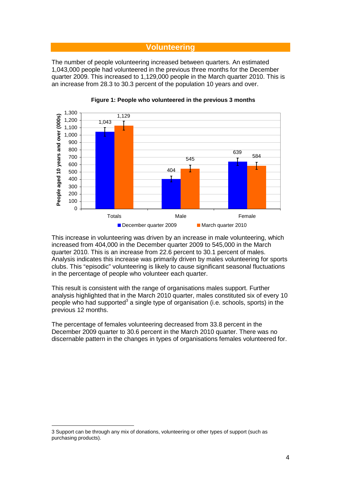## **Volunteering**

The number of people volunteering increased between quarters. An estimated 1,043,000 people had volunteered in the previous three months for the December quarter 2009. This increased to 1,129,000 people in the March quarter 2010. This is an increase from 28.3 to 30.3 percent of the population 10 years and over.





This increase in volunteering was driven by an increase in male volunteering, which increased from 404,000 in the December quarter 2009 to 545,000 in the March quarter 2010. This is an increase from 22.6 percent to 30.1 percent of males. Analysis indicates this increase was primarily driven by males volunteering for sports clubs. This "episodic" volunteering is likely to cause significant seasonal fluctuations in the percentage of people who volunteer each quarter.

This result is consistent with the range of organisations males support. Further analysis highlighted that in the March 2010 quarter, males constituted six of every 10 people who had supported<sup>3</sup> a single type of organisation (i.e. schools, sports) in the previous 12 months.

The percentage of females volunteering decreased from 33.8 percent in the December 2009 quarter to 30.6 percent in the March 2010 quarter. There was no discernable pattern in the changes in types of organisations females volunteered for.

 $\overline{a}$ 

<sup>3</sup> Support can be through any mix of donations, volunteering or other types of support (such as purchasing products).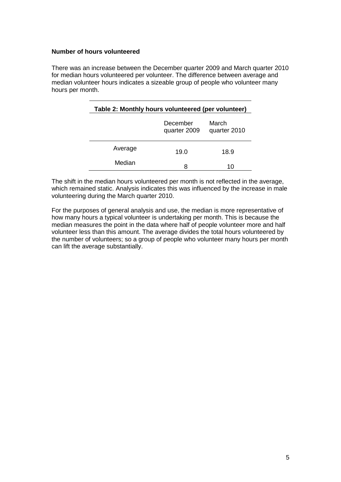### **Number of hours volunteered**

There was an increase between the December quarter 2009 and March quarter 2010 for median hours volunteered per volunteer. The difference between average and median volunteer hours indicates a sizeable group of people who volunteer many hours per month.

| Table 2: Monthly hours volunteered (per volunteer) |                          |                       |  |  |
|----------------------------------------------------|--------------------------|-----------------------|--|--|
|                                                    | December<br>quarter 2009 | March<br>quarter 2010 |  |  |
| Average                                            | 19.0                     | 18.9                  |  |  |
| Median                                             | 8                        | 10                    |  |  |

The shift in the median hours volunteered per month is not reflected in the average, which remained static. Analysis indicates this was influenced by the increase in male volunteering during the March quarter 2010.

For the purposes of general analysis and use, the median is more representative of how many hours a typical volunteer is undertaking per month. This is because the median measures the point in the data where half of people volunteer more and half volunteer less than this amount. The average divides the total hours volunteered by the number of volunteers; so a group of people who volunteer many hours per month can lift the average substantially.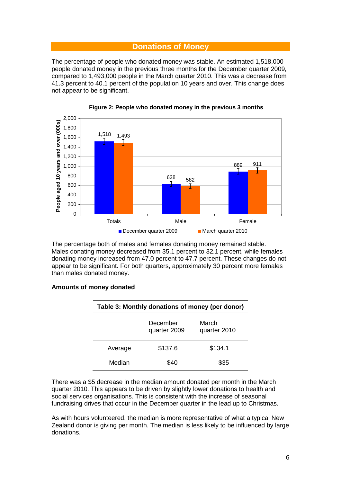## **Donations of Money**

The percentage of people who donated money was stable. An estimated 1,518,000 people donated money in the previous three months for the December quarter 2009, compared to 1,493,000 people in the March quarter 2010. This was a decrease from 41.3 percent to 40.1 percent of the population 10 years and over. This change does not appear to be significant.



**Figure 2: People who donated money in the previous 3 months**

The percentage both of males and females donating money remained stable. Males donating money decreased from 35.1 percent to 32.1 percent, while females donating money increased from 47.0 percent to 47.7 percent. These changes do not appear to be significant. For both quarters, approximately 30 percent more females than males donated money.

#### **Amounts of money donated**

| Table 3: Monthly donations of money (per donor) |                          |                       |  |
|-------------------------------------------------|--------------------------|-----------------------|--|
|                                                 | December<br>quarter 2009 | March<br>quarter 2010 |  |
| Average                                         | \$137.6                  | \$134.1               |  |
| Median                                          | \$40                     | \$35                  |  |

There was a \$5 decrease in the median amount donated per month in the March quarter 2010. This appears to be driven by slightly lower donations to health and social services organisations. This is consistent with the increase of seasonal fundraising drives that occur in the December quarter in the lead up to Christmas.

As with hours volunteered, the median is more representative of what a typical New Zealand donor is giving per month. The median is less likely to be influenced by large donations.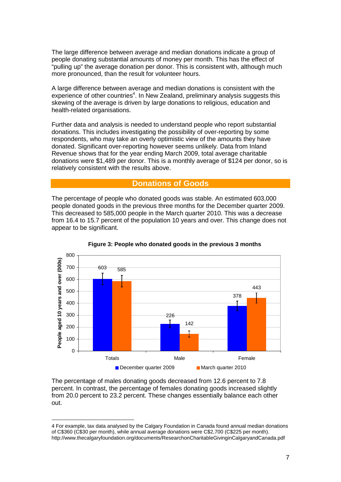The large difference between average and median donations indicate a group of people donating substantial amounts of money per month. This has the effect of "pulling up" the average donation per donor. This is consistent with, although much more pronounced, than the result for volunteer hours.

A large difference between average and median donations is consistent with the  $experience$  of other countries<sup>4</sup>. In New Zealand, preliminary analysis suggests this skewing of the average is driven by large donations to religious, education and health-related organisations.

Further data and analysis is needed to understand people who report substantial donations. This includes investigating the possibility of over-reporting by some respondents, who may take an overly optimistic view of the amounts they have donated. Significant over-reporting however seems unlikely. Data from Inland Revenue shows that for the year ending March 2009, total average charitable donations were \$1,489 per donor. This is a monthly average of \$124 per donor, so is relatively consistent with the results above.

## **Donations of Goods**

The percentage of people who donated goods was stable. An estimated 603,000 people donated goods in the previous three months for the December quarter 2009. This decreased to 585,000 people in the March quarter 2010. This was a decrease from 16.4 to 15.7 percent of the population 10 years and over. This change does not appear to be significant.





The percentage of males donating goods decreased from 12.6 percent to 7.8 percent. In contrast, the percentage of females donating goods increased slightly from 20.0 percent to 23.2 percent. These changes essentially balance each other out.

 $\overline{a}$ 

<sup>4</sup> For example, tax data analysed by the Calgary Foundation in Canada found annual median donations of C\$360 (C\$30 per month), while annual average donations were C\$2,700 (C\$225 per month). http://www.thecalgaryfoundation.org/documents/ResearchonCharitableGivinginCalgaryandCanada.pdf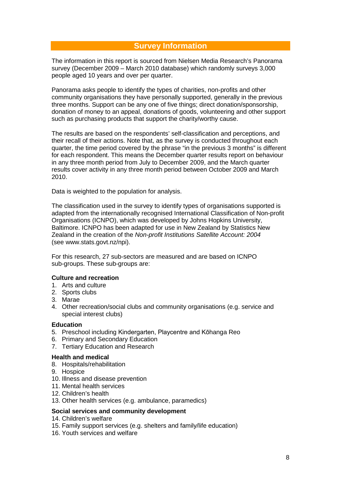## **Survey Information**

The information in this report is sourced from Nielsen Media Research's Panorama survey (December 2009 – March 2010 database) which randomly surveys 3,000 people aged 10 years and over per quarter.

Panorama asks people to identify the types of charities, non-profits and other community organisations they have personally supported, generally in the previous three months. Support can be any one of five things; direct donation/sponsorship, donation of money to an appeal, donations of goods, volunteering and other support such as purchasing products that support the charity/worthy cause.

The results are based on the respondents' self-classification and perceptions, and their recall of their actions. Note that, as the survey is conducted throughout each quarter, the time period covered by the phrase "in the previous 3 months" is different for each respondent. This means the December quarter results report on behaviour in any three month period from July to December 2009, and the March quarter results cover activity in any three month period between October 2009 and March 2010.

Data is weighted to the population for analysis.

The classification used in the survey to identify types of organisations supported is adapted from the internationally recognised International Classification of Non-profit Organisations (ICNPO), which was developed by Johns Hopkins University, Baltimore. ICNPO has been adapted for use in New Zealand by Statistics New Zealand in the creation of the *Non-profit Institutions Satellite Account: 2004* (see www.stats.govt.nz/npi).

For this research, 27 sub-sectors are measured and are based on ICNPO sub-groups. These sub-groups are:

## **Culture and recreation**

- 1. Arts and culture
- 2. Sports clubs
- 3. Marae
- 4. Other recreation/social clubs and community organisations (e.g. service and special interest clubs)

#### **Education**

- 5. Preschool including Kindergarten, Playcentre and Kōhanga Reo
- 6. Primary and Secondary Education
- 7. Tertiary Education and Research

### **Health and medical**

- 8. Hospitals/rehabilitation
- 9. Hospice
- 10. Illness and disease prevention
- 11. Mental health services
- 12. Children's health
- 13. Other health services (e.g. ambulance, paramedics)

## **Social services and community development**

- 14. Children's welfare
- 15. Family support services (e.g. shelters and family/life education)
- 16. Youth services and welfare